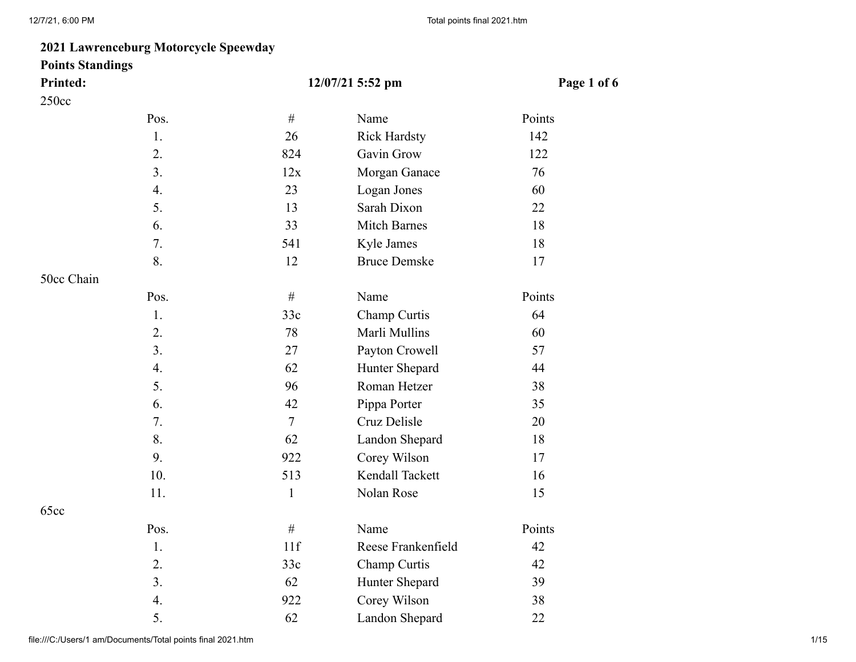## **2021 Lawrenceburg Motorcycle Speewday**

# **Points Standings**

| <b>Printed:</b> |  |
|-----------------|--|
| 250cc           |  |

| <b>Printed:</b> |      |                | 12/07/21 5:52 pm    | Page 1 of 6 |
|-----------------|------|----------------|---------------------|-------------|
| 250cc           |      |                |                     |             |
|                 | Pos. | $\#$           | Name                | Points      |
|                 | 1.   | 26             | <b>Rick Hardsty</b> | 142         |
|                 | 2.   | 824            | Gavin Grow          | 122         |
|                 | 3.   | 12x            | Morgan Ganace       | 76          |
|                 | 4.   | 23             | Logan Jones         | 60          |
|                 | 5.   | 13             | Sarah Dixon         | 22          |
|                 | 6.   | 33             | <b>Mitch Barnes</b> | 18          |
|                 | 7.   | 541            | Kyle James          | 18          |
|                 | 8.   | 12             | <b>Bruce Demske</b> | 17          |
| 50cc Chain      |      |                |                     |             |
|                 | Pos. | $\#$           | Name                | Points      |
|                 | 1.   | 33c            | Champ Curtis        | 64          |
|                 | 2.   | 78             | Marli Mullins       | 60          |
|                 | 3.   | 27             | Payton Crowell      | 57          |
|                 | 4.   | 62             | Hunter Shepard      | 44          |
|                 | 5.   | 96             | Roman Hetzer        | 38          |
|                 | 6.   | 42             | Pippa Porter        | 35          |
|                 | 7.   | $\overline{7}$ | Cruz Delisle        | 20          |
|                 | 8.   | 62             | Landon Shepard      | 18          |
|                 | 9.   | 922            | Corey Wilson        | 17          |
|                 | 10.  | 513            | Kendall Tackett     | 16          |
|                 | 11.  | $\mathbf{1}$   | Nolan Rose          | 15          |
| 65cc            |      |                |                     |             |
|                 | Pos. | $\#$           | Name                | Points      |
|                 | 1.   | 11f            | Reese Frankenfield  | 42          |
|                 | 2.   | 33c            | Champ Curtis        | 42          |
|                 | 3.   | 62             | Hunter Shepard      | 39          |
|                 | 4.   | 922            | Corey Wilson        | 38          |
|                 | 5.   | 62             | Landon Shepard      | 22          |

file:///C:/Users/1 am/Documents/Total points final 2021.htm 1/15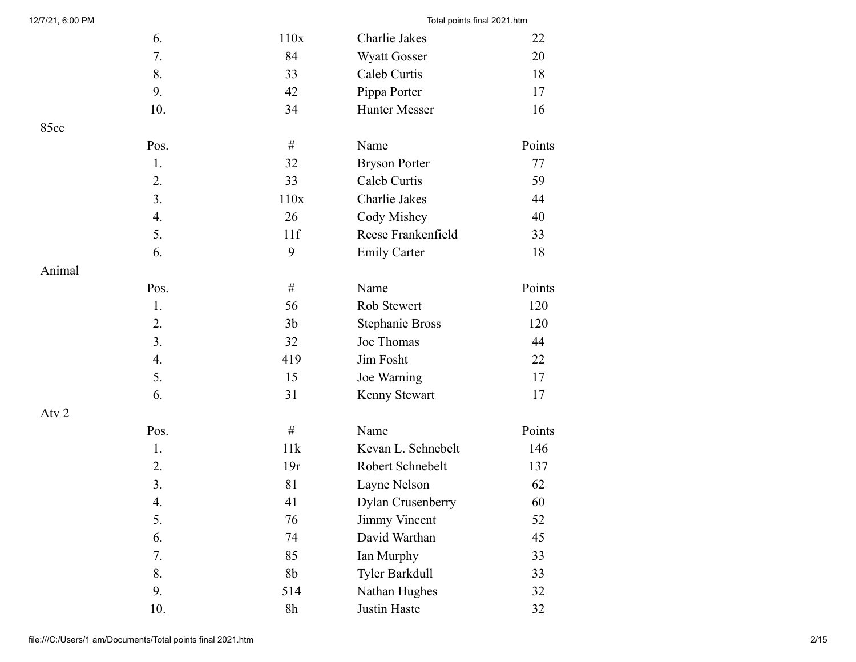| 12/7/21, 6:00 PM |      |                | Total points final 2021.htm |        |
|------------------|------|----------------|-----------------------------|--------|
|                  | 6.   | 110x           | Charlie Jakes               | 22     |
|                  | 7.   | 84             | <b>Wyatt Gosser</b>         | 20     |
|                  | 8.   | 33             | Caleb Curtis                | 18     |
|                  | 9.   | 42             | Pippa Porter                | 17     |
|                  | 10.  | 34             | Hunter Messer               | 16     |
| 85cc             |      |                |                             |        |
|                  | Pos. | $\#$           | Name                        | Points |
|                  | 1.   | 32             | <b>Bryson Porter</b>        | 77     |
|                  | 2.   | 33             | Caleb Curtis                | 59     |
|                  | 3.   | 110x           | Charlie Jakes               | 44     |
|                  | 4.   | 26             | Cody Mishey                 | 40     |
|                  | 5.   | 11f            | Reese Frankenfield          | 33     |
|                  | 6.   | 9              | <b>Emily Carter</b>         | 18     |
| Animal           |      |                |                             |        |
|                  | Pos. | $\#$           | Name                        | Points |
|                  | 1.   | 56             | Rob Stewert                 | 120    |
|                  | 2.   | 3 <sub>b</sub> | <b>Stephanie Bross</b>      | 120    |
|                  | 3.   | 32             | Joe Thomas                  | 44     |
|                  | 4.   | 419            | Jim Fosht                   | 22     |
|                  | 5.   | 15             | Joe Warning                 | 17     |
|                  | 6.   | 31             | Kenny Stewart               | 17     |
| Atv 2            |      |                |                             |        |
|                  | Pos. | $\#$           | Name                        | Points |
|                  | 1.   | 11k            | Kevan L. Schnebelt          | 146    |
|                  | 2.   | 19r            | Robert Schnebelt            | 137    |
|                  | 3.   | 81             | Layne Nelson                | 62     |
|                  | 4.   | 41             | Dylan Crusenberry           | 60     |
|                  | 5.   | 76             | Jimmy Vincent               | 52     |
|                  | 6.   | 74             | David Warthan               | 45     |
|                  | 7.   | 85             | Ian Murphy                  | 33     |
|                  | 8.   | 8 <sub>b</sub> | Tyler Barkdull              | 33     |
|                  | 9.   | 514            | Nathan Hughes               | 32     |
|                  | 10.  | 8h             | Justin Haste                | 32     |
|                  |      |                |                             |        |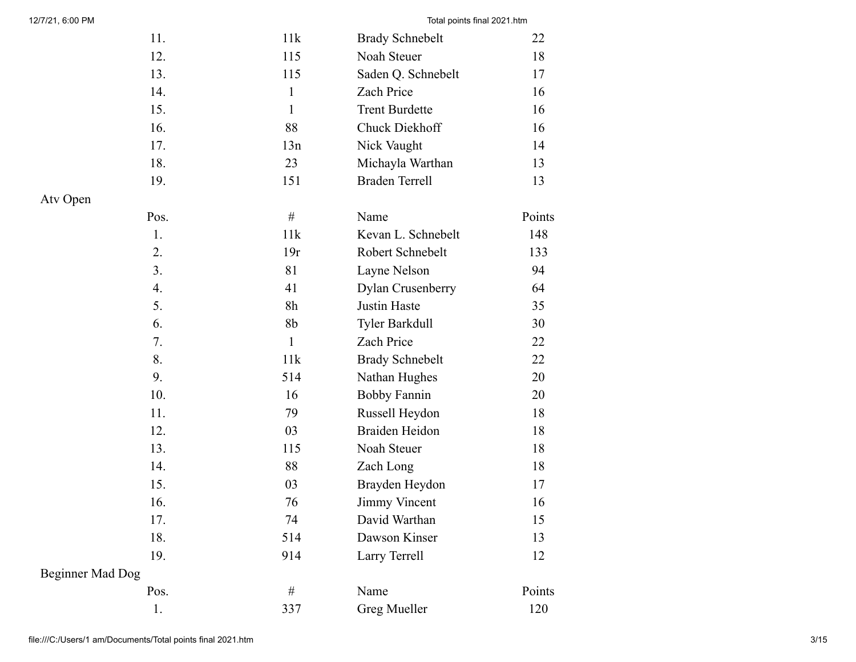| 11.                     | 11k            | <b>Brady Schnebelt</b> | 22     |
|-------------------------|----------------|------------------------|--------|
| 12.                     | 115            | Noah Steuer            | 18     |
| 13.                     | 115            | Saden Q. Schnebelt     | 17     |
| 14.                     | $\mathbf{1}$   | Zach Price             | 16     |
| 15.                     | $\mathbf{1}$   | <b>Trent Burdette</b>  | 16     |
| 16.                     | 88             | Chuck Diekhoff         | 16     |
| 17.                     | 13n            | Nick Vaught            | 14     |
| 18.                     | 23             | Michayla Warthan       | 13     |
| 19.                     | 151            | <b>Braden Terrell</b>  | 13     |
| Atv Open                |                |                        |        |
| Pos.                    | $\#$           | Name                   | Points |
| 1.                      | 11k            | Kevan L. Schnebelt     | 148    |
| 2.                      | 19r            | Robert Schnebelt       | 133    |
| 3.                      | 81             | Layne Nelson           | 94     |
| 4.                      | 41             | Dylan Crusenberry      | 64     |
| 5.                      | 8h             | <b>Justin Haste</b>    | 35     |
| 6.                      | 8 <sub>b</sub> | Tyler Barkdull         | 30     |
| 7.                      | $\mathbf{1}$   | Zach Price             | 22     |
| 8.                      | 11k            | <b>Brady Schnebelt</b> | 22     |
| 9.                      | 514            | Nathan Hughes          | 20     |
| 10.                     | 16             | <b>Bobby Fannin</b>    | 20     |
| 11.                     | 79             | Russell Heydon         | 18     |
| 12.                     | 03             | <b>Braiden Heidon</b>  | 18     |
| 13.                     | 115            | Noah Steuer            | 18     |
| 14.                     | 88             | Zach Long              | 18     |
| 15.                     | 03             | Brayden Heydon         | 17     |
| 16.                     | 76             | <b>Jimmy Vincent</b>   | 16     |
| 17.                     | 74             | David Warthan          | 15     |
| 18.                     | 514            | Dawson Kinser          | 13     |
| 19.                     | 914            | Larry Terrell          | 12     |
| <b>Beginner Mad Dog</b> |                |                        |        |
| Pos.                    | $\#$           | Name                   | Points |
| 1.                      | 337            | <b>Greg Mueller</b>    | 120    |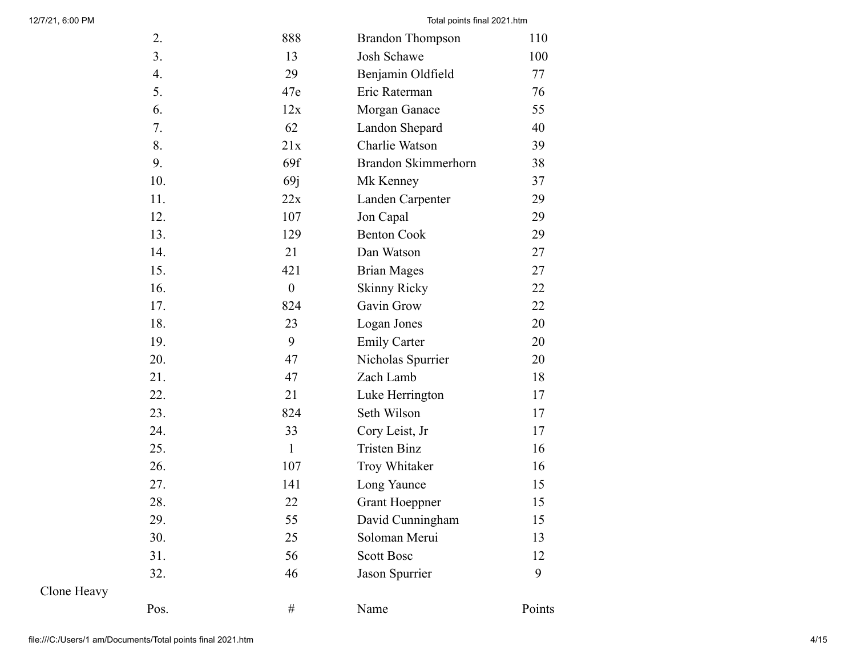| 2.   | 888              | <b>Brandon Thompson</b> | 110    |
|------|------------------|-------------------------|--------|
| 3.   | 13               | Josh Schawe             | 100    |
| 4.   | 29               | Benjamin Oldfield       | 77     |
| 5.   | 47e              | Eric Raterman           | 76     |
| 6.   | 12x              | Morgan Ganace           | 55     |
| 7.   | 62               | Landon Shepard          | 40     |
| 8.   | 21x              | Charlie Watson          | 39     |
| 9.   | 69f              | Brandon Skimmerhorn     | 38     |
| 10.  | 69j              | Mk Kenney               | 37     |
| 11.  | 22x              | Landen Carpenter        | 29     |
| 12.  | 107              | Jon Capal               | 29     |
| 13.  | 129              | <b>Benton Cook</b>      | 29     |
| 14.  | 21               | Dan Watson              | 27     |
| 15.  | 421              | <b>Brian Mages</b>      | 27     |
| 16.  | $\boldsymbol{0}$ | <b>Skinny Ricky</b>     | 22     |
| 17.  | 824              | Gavin Grow              | 22     |
| 18.  | 23               | Logan Jones             | 20     |
| 19.  | 9                | <b>Emily Carter</b>     | 20     |
| 20.  | 47               | Nicholas Spurrier       | 20     |
| 21.  | 47               | Zach Lamb               | 18     |
| 22.  | 21               | Luke Herrington         | 17     |
| 23.  | 824              | Seth Wilson             | 17     |
| 24.  | 33               | Cory Leist, Jr          | 17     |
| 25.  | $\mathbf{1}$     | <b>Tristen Binz</b>     | 16     |
| 26.  | 107              | Troy Whitaker           | 16     |
| 27.  | 141              | Long Yaunce             | 15     |
| 28.  | 22               | <b>Grant Hoeppner</b>   | 15     |
| 29.  | 55               | David Cunningham        | 15     |
| 30.  | 25               | Soloman Merui           | 13     |
| 31.  | 56               | <b>Scott Bosc</b>       | 12     |
| 32.  | 46               | Jason Spurrier          | 9      |
| Pos. | #                | Name                    | Points |

Clone Heavy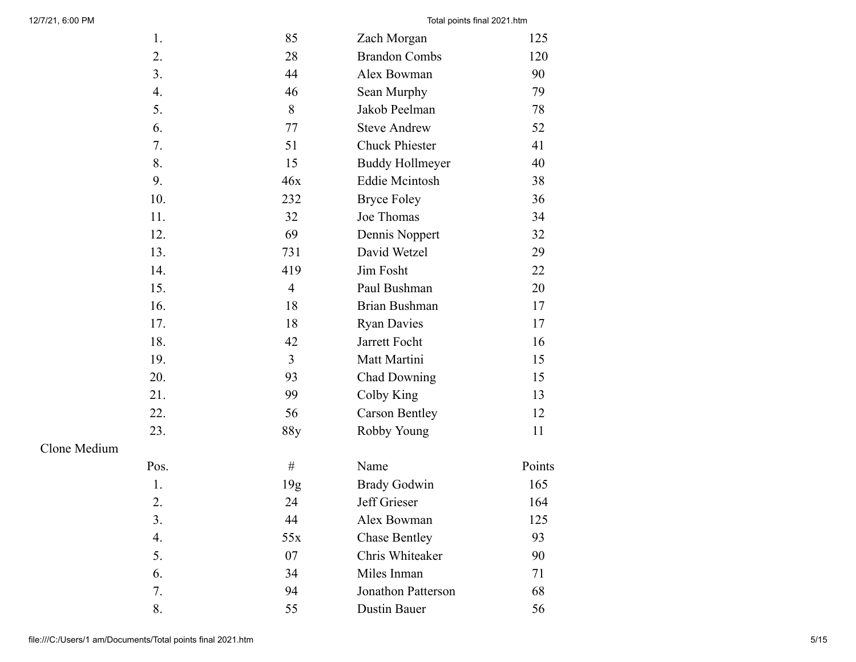| 1.   | 85              | Zach Morgan               | 125    |
|------|-----------------|---------------------------|--------|
| 2.   | 28              | <b>Brandon Combs</b>      | 120    |
| 3.   | 44              | Alex Bowman               | 90     |
| 4.   | 46              | Sean Murphy               | 79     |
| 5.   | 8               | Jakob Peelman             | 78     |
| 6.   | 77              | <b>Steve Andrew</b>       | 52     |
| 7.   | 51              | <b>Chuck Phiester</b>     | 41     |
| 8.   | 15              | <b>Buddy Hollmeyer</b>    | 40     |
| 9.   | 46x             | <b>Eddie Mcintosh</b>     | 38     |
| 10.  | 232             | <b>Bryce Foley</b>        | 36     |
| 11.  | 32              | Joe Thomas                | 34     |
| 12.  | 69              | Dennis Noppert            | 32     |
| 13.  | 731             | David Wetzel              | 29     |
| 14.  | 419             | Jim Fosht                 | 22     |
| 15.  | $\overline{4}$  | Paul Bushman              | 20     |
| 16.  | 18              | <b>Brian Bushman</b>      | 17     |
| 17.  | 18              | <b>Ryan Davies</b>        | 17     |
| 18.  | 42              | Jarrett Focht             | 16     |
| 19.  | $\overline{3}$  | Matt Martini              | 15     |
| 20.  | 93              | <b>Chad Downing</b>       | 15     |
| 21.  | 99              | Colby King                | 13     |
| 22.  | 56              | <b>Carson Bentley</b>     | 12     |
| 23.  | 88y             | Robby Young               | 11     |
| Pos. | $\#$            | Name                      | Points |
| 1.   | 19 <sub>g</sub> | <b>Brady Godwin</b>       | 165    |
| 2.   | 24              | Jeff Grieser              | 164    |
| 3.   | 44              | Alex Bowman               | 125    |
| 4.   | 55x             | <b>Chase Bentley</b>      | 93     |
| 5.   | 07              | Chris Whiteaker           | 90     |
| 6.   | 34              | Miles Inman               | 71     |
| 7.   | 94              | <b>Jonathon Patterson</b> | 68     |
| 8.   | 55              | Dustin Bauer              | 56     |

Clone Medium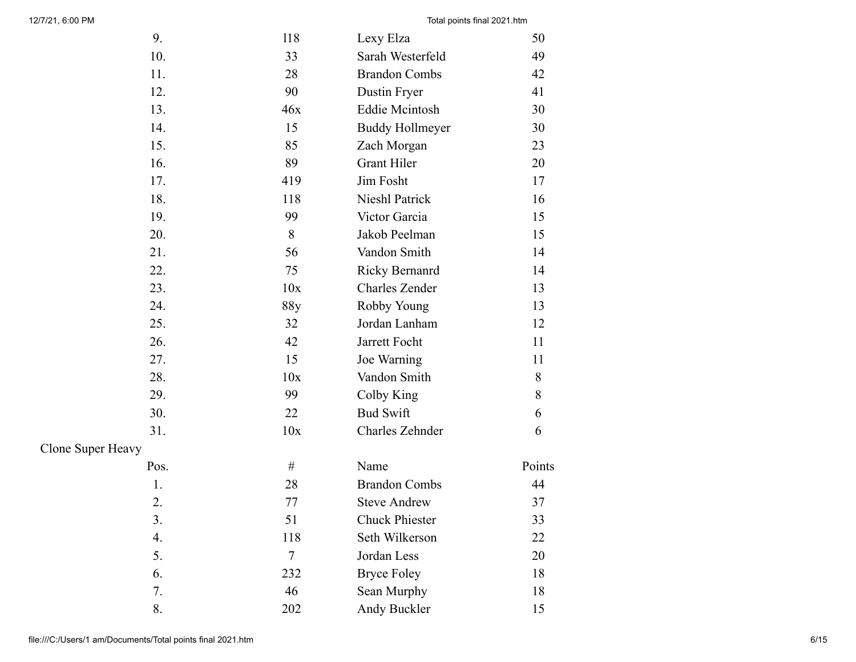| 9.                | 118    | Lexy Elza              | 50     |
|-------------------|--------|------------------------|--------|
| 10.               | 33     | Sarah Westerfeld       | 49     |
| 11.               | 28     | <b>Brandon Combs</b>   | 42     |
| 12.               | 90     | Dustin Fryer           | 41     |
| 13.               | 46x    | <b>Eddie Mcintosh</b>  | 30     |
| 14.               | 15     | <b>Buddy Hollmeyer</b> | 30     |
| 15.               | 85     | Zach Morgan            | 23     |
| 16.               | 89     | <b>Grant Hiler</b>     | 20     |
| 17.               | 419    | Jim Fosht              | 17     |
| 18.               | 118    | Nieshl Patrick         | 16     |
| 19.               | 99     | Victor Garcia          | 15     |
| 20.               | 8      | Jakob Peelman          | 15     |
| 21.               | 56     | Vandon Smith           | 14     |
| 22.               | 75     | <b>Ricky Bernanrd</b>  | 14     |
| 23.               | 10x    | <b>Charles Zender</b>  | 13     |
| 24.               | 88y    | Robby Young            | 13     |
| 25.               | 32     | Jordan Lanham          | 12     |
| 26.               | 42     | Jarrett Focht          | 11     |
| 27.               | 15     | Joe Warning            | 11     |
| 28.               | 10x    | Vandon Smith           | $8\,$  |
| 29.               | 99     | Colby King             | $8\,$  |
| 30.               | 22     | <b>Bud Swift</b>       | 6      |
| 31.               | 10x    | Charles Zehnder        | 6      |
| Clone Super Heavy |        |                        |        |
| Pos.              | #      | Name                   | Points |
| 1.                | 28     | <b>Brandon Combs</b>   | 44     |
| 2.                | 77     | <b>Steve Andrew</b>    | 37     |
| 3.                | 51     | <b>Chuck Phiester</b>  | 33     |
| 4.                | 118    | Seth Wilkerson         | 22     |
| 5.                | $\tau$ | Jordan Less            | 20     |
| 6.                | 232    | <b>Bryce Foley</b>     | 18     |
| 7.                | 46     | Sean Murphy            | 18     |
| 8.                | 202    | Andy Buckler           | 15     |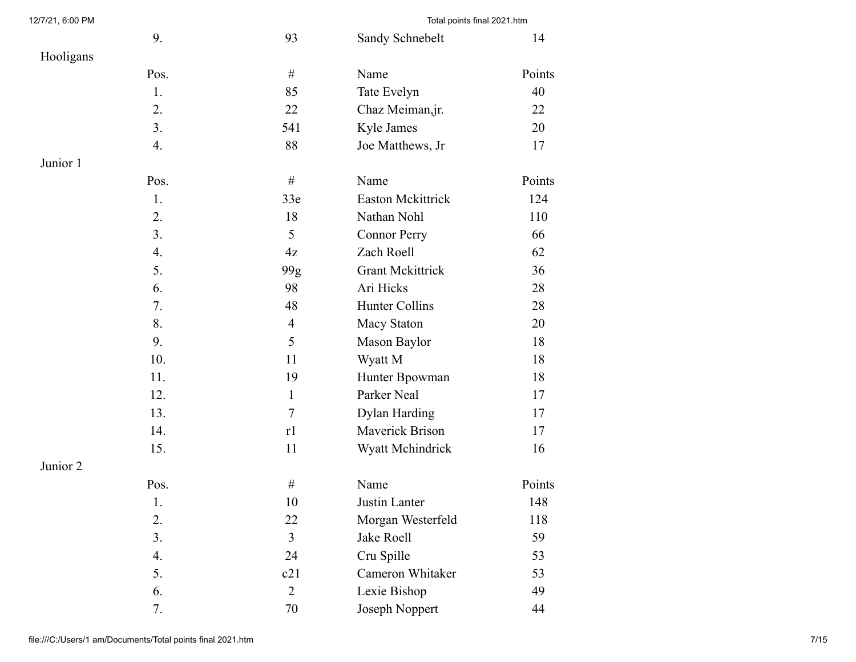| 12/7/21, 6:00 PM |      |                | Total points final 2021.htm |        |
|------------------|------|----------------|-----------------------------|--------|
|                  | 9.   | 93             | Sandy Schnebelt             | 14     |
| Hooligans        |      |                |                             |        |
|                  | Pos. | $\#$           | Name                        | Points |
|                  | 1.   | 85             | Tate Evelyn                 | 40     |
|                  | 2.   | 22             | Chaz Meiman, jr.            | 22     |
|                  | 3.   | 541            | Kyle James                  | 20     |
|                  | 4.   | 88             | Joe Matthews, Jr            | 17     |
| Junior 1         |      |                |                             |        |
|                  | Pos. | $\#$           | Name                        | Points |
|                  | 1.   | 33e            | <b>Easton Mckittrick</b>    | 124    |
|                  | 2.   | 18             | Nathan Nohl                 | 110    |
|                  | 3.   | 5              | <b>Connor Perry</b>         | 66     |
|                  | 4.   | 4z             | Zach Roell                  | 62     |
|                  | 5.   | 99g            | <b>Grant Mckittrick</b>     | 36     |
|                  | 6.   | 98             | Ari Hicks                   | 28     |
|                  | 7.   | 48             | Hunter Collins              | 28     |
|                  | 8.   | $\overline{4}$ | Macy Staton                 | 20     |
|                  | 9.   | 5              | Mason Baylor                | 18     |
|                  | 10.  | 11             | Wyatt M                     | 18     |
|                  | 11.  | 19             | Hunter Bpowman              | 18     |
|                  | 12.  | $\mathbf{1}$   | Parker Neal                 | 17     |
|                  | 13.  | $\tau$         | <b>Dylan Harding</b>        | 17     |
|                  | 14.  | r1             | Maverick Brison             | 17     |
|                  | 15.  | 11             | Wyatt Mchindrick            | 16     |
| Junior 2         |      |                |                             |        |
|                  | Pos. | $\#$           | Name                        | Points |
|                  | 1.   | $10\,$         | Justin Lanter               | 148    |
|                  | 2.   | 22             | Morgan Westerfeld           | 118    |
|                  | 3.   | $\overline{3}$ | Jake Roell                  | 59     |
|                  | 4.   | 24             | Cru Spille                  | 53     |
|                  | 5.   | c21            | Cameron Whitaker            | 53     |
|                  | 6.   | $\overline{2}$ | Lexie Bishop                | 49     |
|                  | 7.   | $70\,$         | Joseph Noppert              | 44     |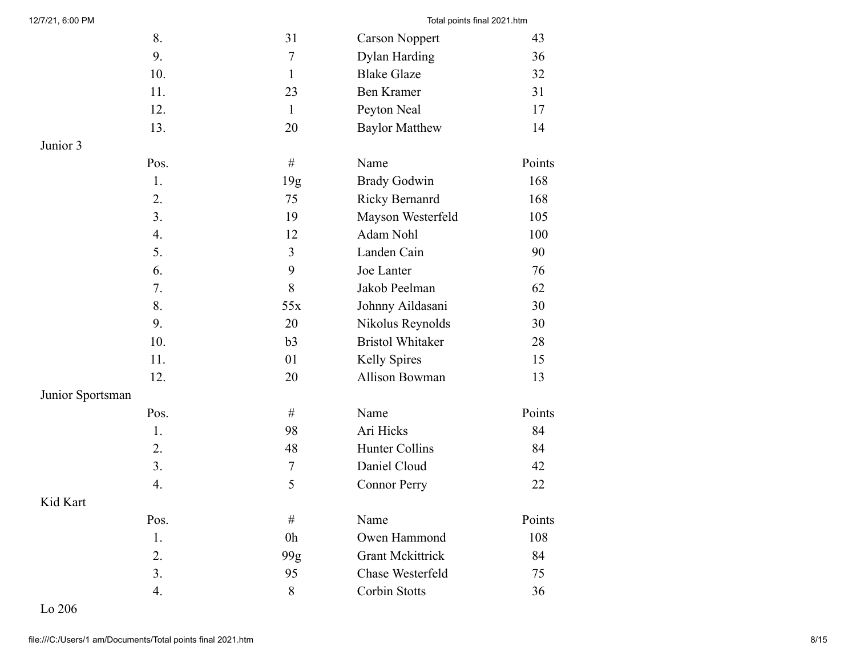| 8.               | 31             | <b>Carson Noppert</b>   | 43     |
|------------------|----------------|-------------------------|--------|
| 9.               | $\overline{7}$ | <b>Dylan Harding</b>    | 36     |
| 10.              | $\mathbf{1}$   | <b>Blake Glaze</b>      | 32     |
| 11.              | 23             | <b>Ben Kramer</b>       | 31     |
| 12.              | $\mathbf{1}$   | Peyton Neal             | 17     |
| 13.              | 20             | <b>Baylor Matthew</b>   | 14     |
| Junior 3         |                |                         |        |
| Pos.             | $\#$           | Name                    | Points |
| 1.               | 19g            | <b>Brady Godwin</b>     | 168    |
| 2.               | 75             | Ricky Bernanrd          | 168    |
| 3.               | 19             | Mayson Westerfeld       | 105    |
| 4.               | 12             | Adam Nohl               | 100    |
| 5.               | 3              | Landen Cain             | 90     |
| 6.               | 9              | Joe Lanter              | 76     |
| 7.               | 8              | Jakob Peelman           | 62     |
| 8.               | 55x            | Johnny Aildasani        | 30     |
| 9.               | 20             | Nikolus Reynolds        | 30     |
| 10.              | b3             | <b>Bristol Whitaker</b> | 28     |
| 11.              | 01             | Kelly Spires            | 15     |
| 12.              | 20             | Allison Bowman          | 13     |
| Junior Sportsman |                |                         |        |
| Pos.             | $\#$           | Name                    | Points |
| 1.               | 98             | Ari Hicks               | 84     |
| 2.               | 48             | Hunter Collins          | 84     |
| 3.               | $\tau$         | Daniel Cloud            | 42     |
| 4.               | 5              | <b>Connor Perry</b>     | 22     |
| Kid Kart         |                |                         |        |
| Pos.             | $\#$           | Name                    | Points |
| 1.               | 0 <sub>h</sub> | Owen Hammond            | 108    |
| 2.               | 99g            | <b>Grant Mckittrick</b> | 84     |
| 3.               | 95             | Chase Westerfeld        | 75     |
| 4.               | 8              | Corbin Stotts           | 36     |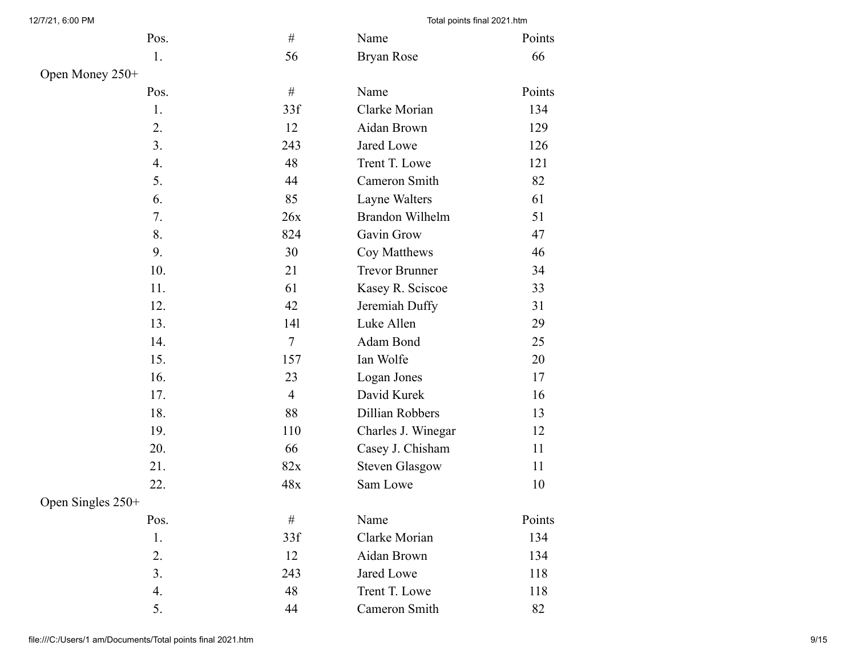| Pos.              | $\#$           | Name                  | Points |
|-------------------|----------------|-----------------------|--------|
| 1.                | 56             | Bryan Rose            | 66     |
| Open Money 250+   |                |                       |        |
| Pos.              | $\#$           | Name                  | Points |
| 1.                | 33f            | Clarke Morian         | 134    |
| 2.                | 12             | Aidan Brown           | 129    |
| 3.                | 243            | Jared Lowe            | 126    |
| 4.                | 48             | Trent T. Lowe         | 121    |
| 5.                | 44             | Cameron Smith         | 82     |
| 6.                | 85             | Layne Walters         | 61     |
| 7.                | 26x            | Brandon Wilhelm       | 51     |
| 8.                | 824            | Gavin Grow            | 47     |
| 9.                | 30             | Coy Matthews          | 46     |
| 10.               | 21             | <b>Trevor Brunner</b> | 34     |
| 11.               | 61             | Kasey R. Sciscoe      | 33     |
| 12.               | 42             | Jeremiah Duffy        | 31     |
| 13.               | 141            | Luke Allen            | 29     |
| 14.               | $\overline{7}$ | Adam Bond             | 25     |
| 15.               | 157            | Ian Wolfe             | 20     |
| 16.               | 23             | Logan Jones           | 17     |
| 17.               | $\overline{4}$ | David Kurek           | 16     |
| 18.               | 88             | Dillian Robbers       | 13     |
| 19.               | 110            | Charles J. Winegar    | 12     |
| 20.               | 66             | Casey J. Chisham      | 11     |
| 21.               | 82x            | <b>Steven Glasgow</b> | 11     |
| 22.               | 48x            | Sam Lowe              | 10     |
| Open Singles 250+ |                |                       |        |
| Pos.              | $\#$           | Name                  | Points |
| 1.                | 33f            | Clarke Morian         | 134    |
| 2.                | 12             | Aidan Brown           | 134    |
| 3.                | 243            | Jared Lowe            | 118    |
| 4.                | 48             | Trent T. Lowe         | 118    |
| 5.                | 44             | Cameron Smith         | 82     |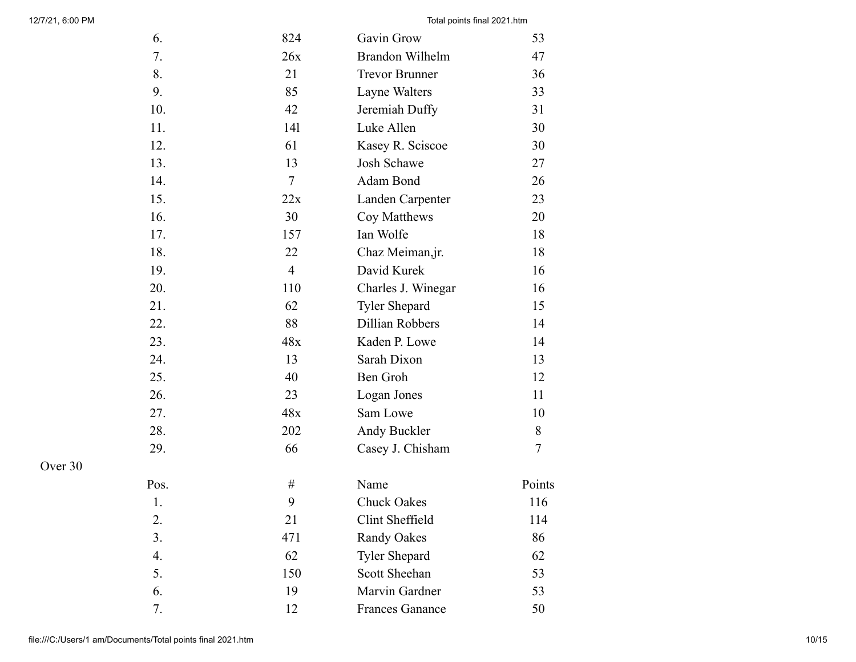| 6.   | 824            | Gavin Grow             | 53     |
|------|----------------|------------------------|--------|
| 7.   | 26x            | Brandon Wilhelm        | 47     |
| 8.   | 21             | <b>Trevor Brunner</b>  | 36     |
| 9.   | 85             | Layne Walters          | 33     |
| 10.  | 42             | Jeremiah Duffy         | 31     |
| 11.  | 141            | Luke Allen             | 30     |
| 12.  | 61             | Kasey R. Sciscoe       | 30     |
| 13.  | 13             | <b>Josh Schawe</b>     | 27     |
| 14.  | $\overline{7}$ | Adam Bond              | 26     |
| 15.  | 22x            | Landen Carpenter       | 23     |
| 16.  | 30             | Coy Matthews           | 20     |
| 17.  | 157            | Ian Wolfe              | 18     |
| 18.  | 22             | Chaz Meiman, jr.       | 18     |
| 19.  | $\overline{4}$ | David Kurek            | 16     |
| 20.  | 110            | Charles J. Winegar     | 16     |
| 21.  | 62             | <b>Tyler Shepard</b>   | 15     |
| 22.  | 88             | Dillian Robbers        | 14     |
| 23.  | 48x            | Kaden P. Lowe          | 14     |
| 24.  | 13             | Sarah Dixon            | 13     |
| 25.  | 40             | Ben Groh               | 12     |
| 26.  | 23             | Logan Jones            | 11     |
| 27.  | 48x            | Sam Lowe               | 10     |
| 28.  | 202            | Andy Buckler           | 8      |
| 29.  | 66             | Casey J. Chisham       | 7      |
| Pos. | #              | Name                   | Points |
| 1.   | 9              | <b>Chuck Oakes</b>     | 116    |
| 2.   | 21             | Clint Sheffield        | 114    |
| 3.   | 471            | <b>Randy Oakes</b>     | 86     |
| 4.   | 62             | <b>Tyler Shepard</b>   | 62     |
| 5.   | 150            | Scott Sheehan          | 53     |
| 6.   | 19             | Marvin Gardner         | 53     |
| 7.   | 12             | <b>Frances Ganance</b> | 50     |

Over 30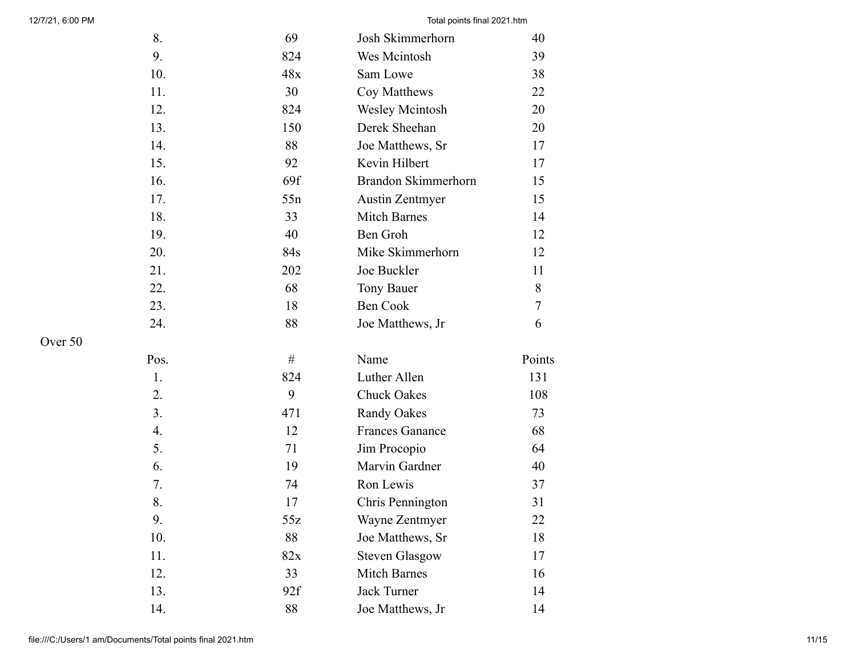| 8.   | 69  | Josh Skimmerhorn           | 40     |
|------|-----|----------------------------|--------|
| 9.   | 824 | Wes Mcintosh               | 39     |
| 10.  | 48x | Sam Lowe                   | 38     |
| 11.  | 30  | Coy Matthews               | 22     |
| 12.  | 824 | <b>Wesley Mcintosh</b>     | 20     |
| 13.  | 150 | Derek Sheehan              | 20     |
| 14.  | 88  | Joe Matthews, Sr           | 17     |
| 15.  | 92  | Kevin Hilbert              | 17     |
| 16.  | 69f | <b>Brandon Skimmerhorn</b> | 15     |
| 17.  | 55n | <b>Austin Zentmyer</b>     | 15     |
| 18.  | 33  | <b>Mitch Barnes</b>        | 14     |
| 19.  | 40  | Ben Groh                   | 12     |
| 20.  | 84s | Mike Skimmerhorn           | 12     |
| 21.  | 202 | Joe Buckler                | 11     |
| 22.  | 68  | <b>Tony Bauer</b>          | 8      |
| 23.  | 18  | Ben Cook                   | 7      |
| 24.  | 88  | Joe Matthews, Jr           | 6      |
| Pos. | #   | Name                       | Points |
| 1.   | 824 | Luther Allen               | 131    |
| 2.   | 9   | <b>Chuck Oakes</b>         | 108    |
| 3.   | 471 | <b>Randy Oakes</b>         | 73     |
| 4.   | 12  | <b>Frances Ganance</b>     | 68     |
| 5.   | 71  | Jim Procopio               | 64     |
| 6.   | 19  | Marvin Gardner             | 40     |
| 7.   | 74  | Ron Lewis                  | 37     |
| 8.   | 17  | Chris Pennington           | 31     |
| 9.   | 55z | Wayne Zentmyer             | 22     |
| 10.  | 88  | Joe Matthews, Sr           | 18     |
| 11.  | 82x | <b>Steven Glasgow</b>      | 17     |
| 12.  | 33  | <b>Mitch Barnes</b>        | 16     |
| 13.  | 92f | <b>Jack Turner</b>         | 14     |
| 14.  | 88  | Joe Matthews, Jr           | 14     |

Over 50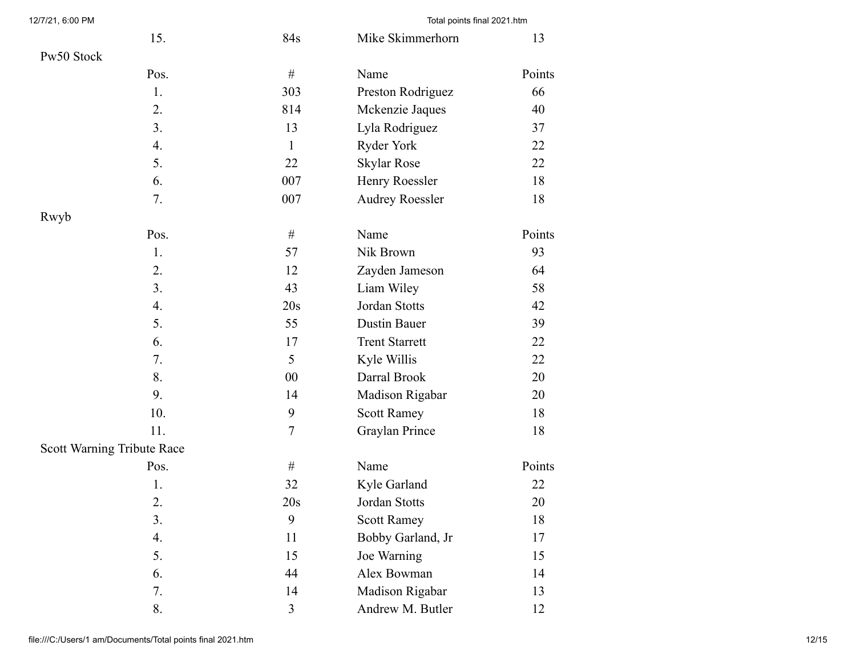| 15.                        | 84s              | Mike Skimmerhorn       | 13     |
|----------------------------|------------------|------------------------|--------|
| Pw50 Stock                 |                  |                        |        |
| Pos.                       | $\#$             | Name                   | Points |
| 1.                         | 303              | Preston Rodriguez      | 66     |
| 2.                         | 814              | Mckenzie Jaques        | 40     |
| 3.                         | 13               | Lyla Rodriguez         | 37     |
| 4.                         | $\mathbf{1}$     | Ryder York             | 22     |
| 5.                         | 22               | <b>Skylar Rose</b>     | 22     |
| 6.                         | 007              | Henry Roessler         | 18     |
| 7.                         | 007              | <b>Audrey Roessler</b> | 18     |
| Rwyb                       |                  |                        |        |
| Pos.                       | $\#$             | Name                   | Points |
| 1.                         | 57               | Nik Brown              | 93     |
| 2.                         | 12               | Zayden Jameson         | 64     |
| 3.                         | 43               | Liam Wiley             | 58     |
| 4.                         | 20s              | Jordan Stotts          | 42     |
| 5.                         | 55               | <b>Dustin Bauer</b>    | 39     |
| 6.                         | 17               | <b>Trent Starrett</b>  | 22     |
| 7.                         | 5                | Kyle Willis            | 22     |
| 8.                         | $00\,$           | Darral Brook           | 20     |
| 9.                         | 14               | Madison Rigabar        | 20     |
| 10.                        | 9                | <b>Scott Ramey</b>     | 18     |
| 11.                        | $\boldsymbol{7}$ | Graylan Prince         | 18     |
| Scott Warning Tribute Race |                  |                        |        |
| Pos.                       | $\#$             | Name                   | Points |
| 1.                         | 32               | Kyle Garland           | 22     |
| 2.                         | 20s              | Jordan Stotts          | 20     |
| 3.                         | 9                | <b>Scott Ramey</b>     | 18     |
| 4.                         | 11               | Bobby Garland, Jr      | 17     |
| 5.                         | 15               | Joe Warning            | 15     |
| 6.                         | 44               | Alex Bowman            | 14     |
| 7.                         | 14               | Madison Rigabar        | 13     |
| 8.                         | 3                | Andrew M. Butler       | 12     |

12/7/21, 6:00 PM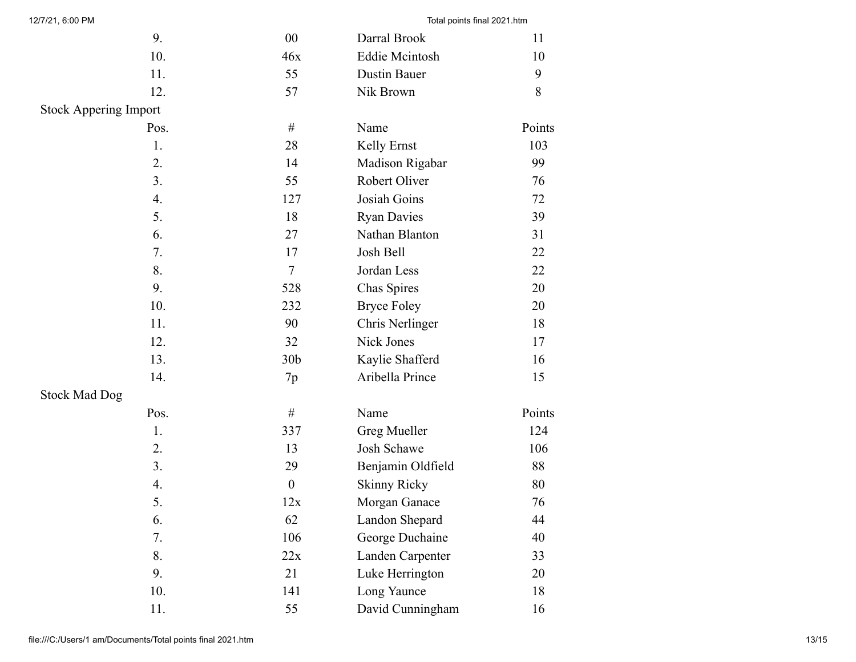| 9.                           | $00\,$           | Darral Brook          | 11     |
|------------------------------|------------------|-----------------------|--------|
| 10.                          | 46x              | <b>Eddie Mcintosh</b> | 10     |
| 11.                          | 55               | <b>Dustin Bauer</b>   | 9      |
| 12.                          | 57               | Nik Brown             | $8\,$  |
| <b>Stock Appering Import</b> |                  |                       |        |
| Pos.                         | $\#$             | Name                  | Points |
| 1.                           | 28               | Kelly Ernst           | 103    |
| 2.                           | 14               | Madison Rigabar       | 99     |
| 3.                           | 55               | Robert Oliver         | 76     |
| 4.                           | 127              | Josiah Goins          | 72     |
| 5.                           | 18               | <b>Ryan Davies</b>    | 39     |
| 6.                           | 27               | Nathan Blanton        | 31     |
| 7.                           | 17               | Josh Bell             | 22     |
| 8.                           | $\tau$           | Jordan Less           | 22     |
| 9.                           | 528              | Chas Spires           | 20     |
| 10.                          | 232              | <b>Bryce Foley</b>    | 20     |
| 11.                          | 90               | Chris Nerlinger       | 18     |
| 12.                          | 32               | Nick Jones            | 17     |
| 13.                          | 30 <sub>b</sub>  | Kaylie Shafferd       | 16     |
| 14.                          | 7p               | Aribella Prince       | 15     |
| <b>Stock Mad Dog</b>         |                  |                       |        |
| Pos.                         | $\#$             | Name                  | Points |
| 1.                           | 337              | Greg Mueller          | 124    |
| 2.                           | 13               | Josh Schawe           | 106    |
| 3.                           | 29               | Benjamin Oldfield     | 88     |
| 4.                           | $\boldsymbol{0}$ | <b>Skinny Ricky</b>   | 80     |
| 5.                           | 12x              | Morgan Ganace         | 76     |
| 6.                           | 62               | Landon Shepard        | 44     |
| 7.                           | 106              | George Duchaine       | 40     |
| 8.                           | 22x              | Landen Carpenter      | 33     |
| 9.                           | 21               | Luke Herrington       | 20     |
| 10.                          | 141              | Long Yaunce           | 18     |
| 11.                          | 55               | David Cunningham      | 16     |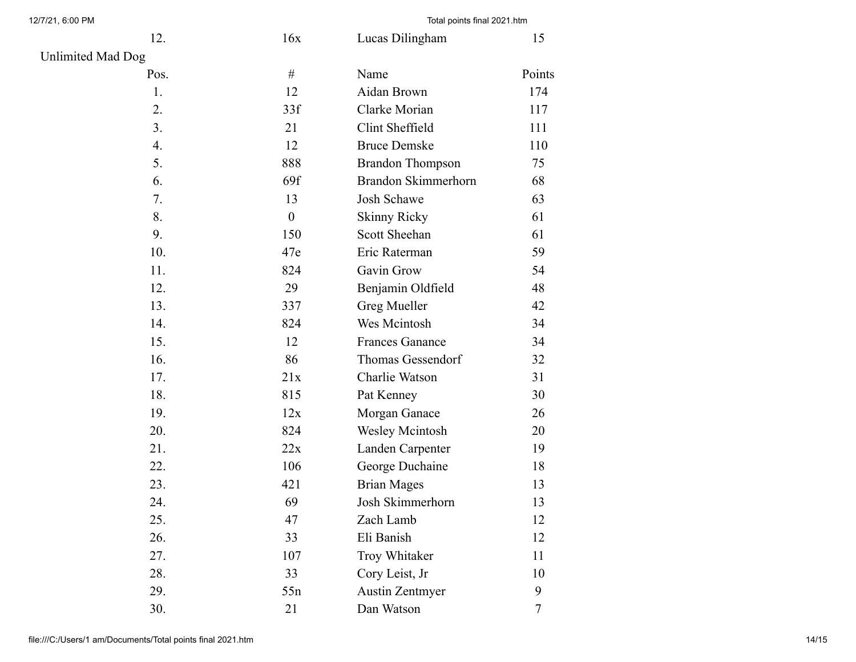| 12.                      | 16x              | Lucas Dilingham         | 15     |
|--------------------------|------------------|-------------------------|--------|
| <b>Unlimited Mad Dog</b> |                  |                         |        |
| Pos.                     | $\#$             | Name                    | Points |
| 1.                       | 12               | Aidan Brown             | 174    |
| 2.                       | 33f              | Clarke Morian           | 117    |
| 3.                       | 21               | Clint Sheffield         | 111    |
| 4.                       | 12               | <b>Bruce Demske</b>     | 110    |
| 5.                       | 888              | <b>Brandon Thompson</b> | 75     |
| 6.                       | 69f              | Brandon Skimmerhorn     | 68     |
| 7.                       | 13               | Josh Schawe             | 63     |
| 8.                       | $\boldsymbol{0}$ | <b>Skinny Ricky</b>     | 61     |
| 9.                       | 150              | Scott Sheehan           | 61     |
| 10.                      | 47e              | Eric Raterman           | 59     |
| 11.                      | 824              | Gavin Grow              | 54     |
| 12.                      | 29               | Benjamin Oldfield       | 48     |
| 13.                      | 337              | Greg Mueller            | 42     |
| 14.                      | 824              | Wes Mcintosh            | 34     |
| 15.                      | 12               | <b>Frances Ganance</b>  | 34     |
| 16.                      | 86               | Thomas Gessendorf       | 32     |
| 17.                      | 21x              | Charlie Watson          | 31     |
| 18.                      | 815              | Pat Kenney              | 30     |
| 19.                      | 12x              | Morgan Ganace           | 26     |
| 20.                      | 824              | Wesley Mcintosh         | 20     |
| 21.                      | 22x              | Landen Carpenter        | 19     |
| 22.                      | 106              | George Duchaine         | 18     |
| 23.                      | 421              | <b>Brian Mages</b>      | 13     |
| 24.                      | 69               | Josh Skimmerhorn        | 13     |
| 25.                      | 47               | Zach Lamb               | 12     |
| 26.                      | 33               | Eli Banish              | 12     |
| 27.                      | 107              | Troy Whitaker           | 11     |
| 28.                      | 33               | Cory Leist, Jr          | 10     |
| 29.                      | 55n              | <b>Austin Zentmyer</b>  | 9      |
| 30.                      | 21               | Dan Watson              | 7      |